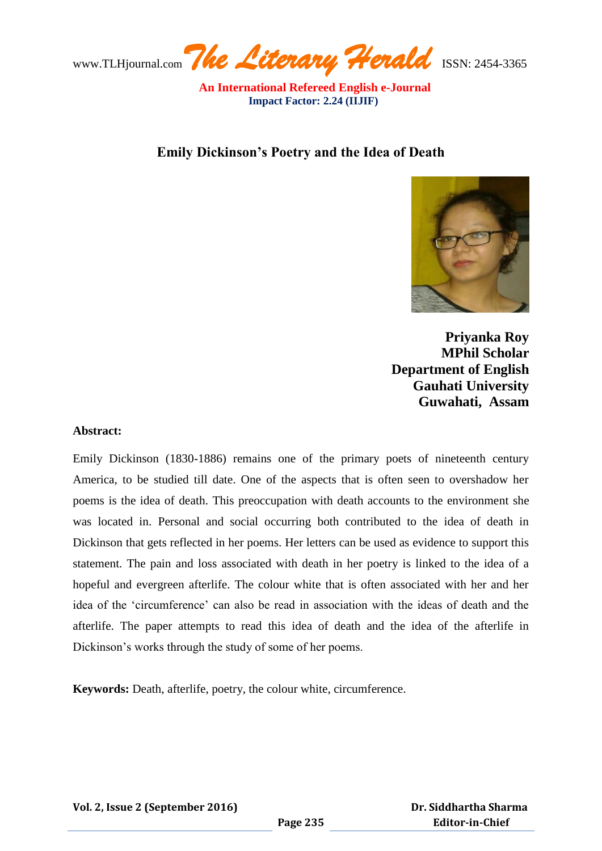# **Emily Dickinson's Poetry and the Idea of Death**



**Priyanka Roy MPhil Scholar Department of English Gauhati University Guwahati, Assam**

### **Abstract:**

Emily Dickinson (1830-1886) remains one of the primary poets of nineteenth century America, to be studied till date. One of the aspects that is often seen to overshadow her poems is the idea of death. This preoccupation with death accounts to the environment she was located in. Personal and social occurring both contributed to the idea of death in Dickinson that gets reflected in her poems. Her letters can be used as evidence to support this statement. The pain and loss associated with death in her poetry is linked to the idea of a hopeful and evergreen afterlife. The colour white that is often associated with her and her idea of the "circumference" can also be read in association with the ideas of death and the afterlife. The paper attempts to read this idea of death and the idea of the afterlife in Dickinson"s works through the study of some of her poems.

**Keywords:** Death, afterlife, poetry, the colour white, circumference.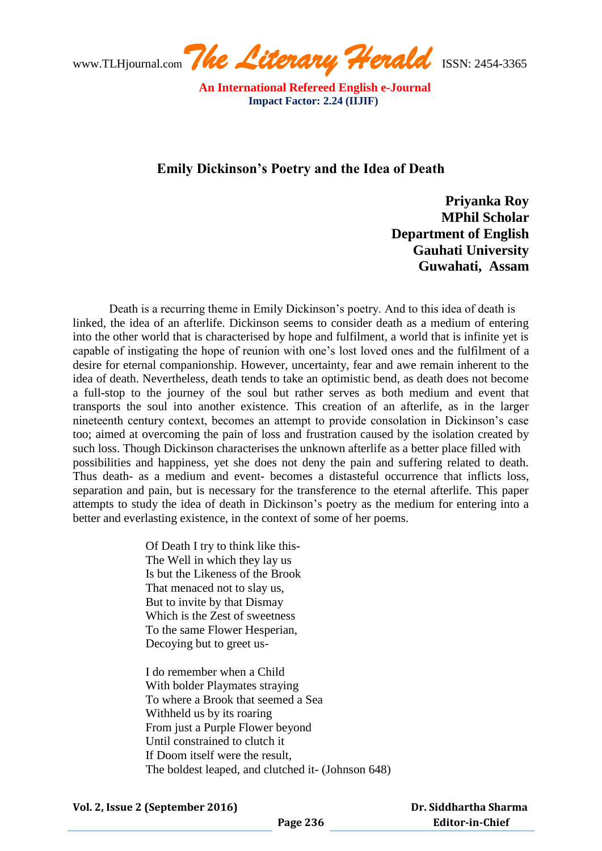www.TLHjournal.com*The Literary Herald*ISSN: 2454-3365

 **An International Refereed English e-Journal Impact Factor: 2.24 (IIJIF)** 

## **Emily Dickinson's Poetry and the Idea of Death**

**Priyanka Roy MPhil Scholar Department of English Gauhati University Guwahati, Assam** 

Death is a recurring theme in Emily Dickinson"s poetry. And to this idea of death is linked, the idea of an afterlife. Dickinson seems to consider death as a medium of entering into the other world that is characterised by hope and fulfilment, a world that is infinite yet is capable of instigating the hope of reunion with one"s lost loved ones and the fulfilment of a desire for eternal companionship. However, uncertainty, fear and awe remain inherent to the idea of death. Nevertheless, death tends to take an optimistic bend, as death does not become a full-stop to the journey of the soul but rather serves as both medium and event that transports the soul into another existence. This creation of an afterlife, as in the larger nineteenth century context, becomes an attempt to provide consolation in Dickinson"s case too; aimed at overcoming the pain of loss and frustration caused by the isolation created by such loss. Though Dickinson characterises the unknown afterlife as a better place filled with possibilities and happiness, yet she does not deny the pain and suffering related to death. Thus death- as a medium and event- becomes a distasteful occurrence that inflicts loss, separation and pain, but is necessary for the transference to the eternal afterlife. This paper attempts to study the idea of death in Dickinson"s poetry as the medium for entering into a better and everlasting existence, in the context of some of her poems.

> Of Death I try to think like this-The Well in which they lay us Is but the Likeness of the Brook That menaced not to slay us, But to invite by that Dismay Which is the Zest of sweetness To the same Flower Hesperian, Decoying but to greet us-

I do remember when a Child With bolder Playmates straying To where a Brook that seemed a Sea Withheld us by its roaring From just a Purple Flower beyond Until constrained to clutch it If Doom itself were the result, The boldest leaped, and clutched it- (Johnson 648)

 **Dr. Siddhartha Sharma Editor-in-Chief**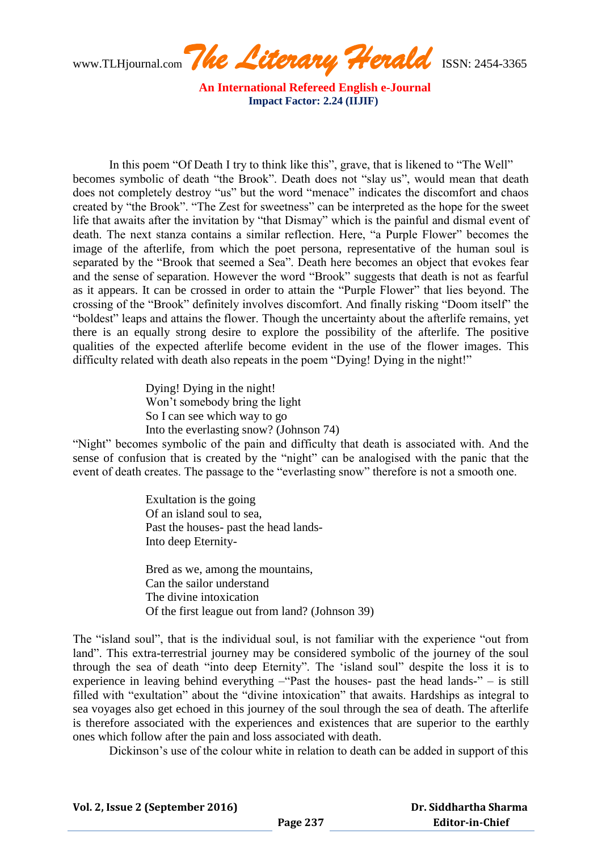www.TLHjournal.com*The Literary Herald*ISSN: 2454-3365

 **An International Refereed English e-Journal Impact Factor: 2.24 (IIJIF)** 

In this poem "Of Death I try to think like this", grave, that is likened to "The Well" becomes symbolic of death "the Brook". Death does not "slay us", would mean that death does not completely destroy "us" but the word "menace" indicates the discomfort and chaos created by "the Brook". "The Zest for sweetness" can be interpreted as the hope for the sweet life that awaits after the invitation by "that Dismay" which is the painful and dismal event of death. The next stanza contains a similar reflection. Here, "a Purple Flower" becomes the image of the afterlife, from which the poet persona, representative of the human soul is separated by the "Brook that seemed a Sea". Death here becomes an object that evokes fear and the sense of separation. However the word "Brook" suggests that death is not as fearful as it appears. It can be crossed in order to attain the "Purple Flower" that lies beyond. The crossing of the "Brook" definitely involves discomfort. And finally risking "Doom itself" the "boldest" leaps and attains the flower. Though the uncertainty about the afterlife remains, yet there is an equally strong desire to explore the possibility of the afterlife. The positive qualities of the expected afterlife become evident in the use of the flower images. This difficulty related with death also repeats in the poem "Dying! Dying in the night!"

> Dying! Dying in the night! Won't somebody bring the light So I can see which way to go Into the everlasting snow? (Johnson 74)

"Night" becomes symbolic of the pain and difficulty that death is associated with. And the sense of confusion that is created by the "night" can be analogised with the panic that the event of death creates. The passage to the "everlasting snow" therefore is not a smooth one.

> Exultation is the going Of an island soul to sea, Past the houses- past the head lands-Into deep Eternity-

Bred as we, among the mountains, Can the sailor understand The divine intoxication Of the first league out from land? (Johnson 39)

The "island soul", that is the individual soul, is not familiar with the experience "out from land". This extra-terrestrial journey may be considered symbolic of the journey of the soul through the sea of death "into deep Eternity". The "island soul" despite the loss it is to experience in leaving behind everything  $-\text{``Fast}$  the houses- past the head lands-" – is still filled with "exultation" about the "divine intoxication" that awaits. Hardships as integral to sea voyages also get echoed in this journey of the soul through the sea of death. The afterlife is therefore associated with the experiences and existences that are superior to the earthly ones which follow after the pain and loss associated with death.

Dickinson's use of the colour white in relation to death can be added in support of this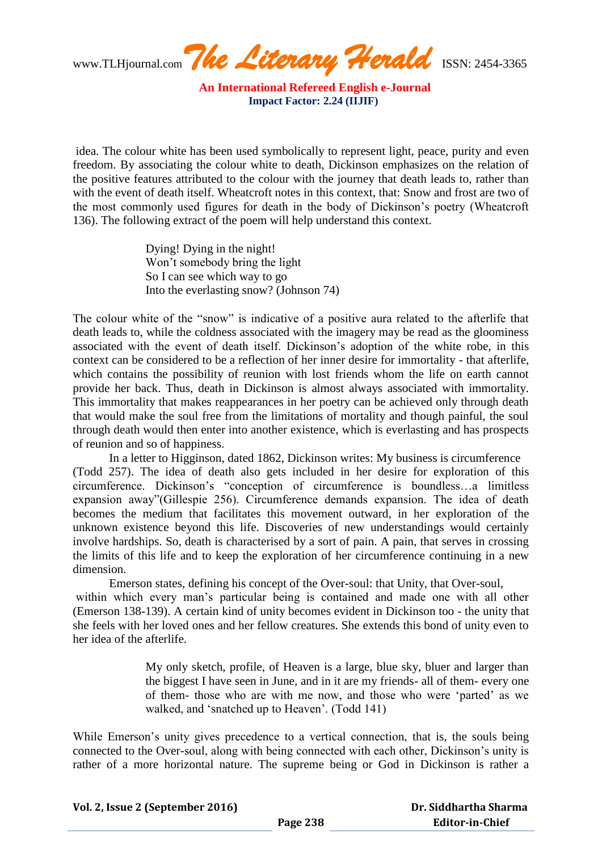www.TLHjournal.com*The Literary Herald*ISSN: 2454-3365

 **An International Refereed English e-Journal Impact Factor: 2.24 (IIJIF)** 

idea. The colour white has been used symbolically to represent light, peace, purity and even freedom. By associating the colour white to death, Dickinson emphasizes on the relation of the positive features attributed to the colour with the journey that death leads to, rather than with the event of death itself. Wheatcroft notes in this context, that: Snow and frost are two of the most commonly used figures for death in the body of Dickinson"s poetry (Wheatcroft 136). The following extract of the poem will help understand this context.

> Dying! Dying in the night! Won't somebody bring the light So I can see which way to go Into the everlasting snow? (Johnson 74)

The colour white of the "snow" is indicative of a positive aura related to the afterlife that death leads to, while the coldness associated with the imagery may be read as the gloominess associated with the event of death itself. Dickinson"s adoption of the white robe, in this context can be considered to be a reflection of her inner desire for immortality - that afterlife, which contains the possibility of reunion with lost friends whom the life on earth cannot provide her back. Thus, death in Dickinson is almost always associated with immortality. This immortality that makes reappearances in her poetry can be achieved only through death that would make the soul free from the limitations of mortality and though painful, the soul through death would then enter into another existence, which is everlasting and has prospects of reunion and so of happiness.

In a letter to Higginson, dated 1862, Dickinson writes: My business is circumference (Todd 257). The idea of death also gets included in her desire for exploration of this circumference. Dickinson"s "conception of circumference is boundless…a limitless expansion away"(Gillespie 256). Circumference demands expansion. The idea of death becomes the medium that facilitates this movement outward, in her exploration of the unknown existence beyond this life. Discoveries of new understandings would certainly involve hardships. So, death is characterised by a sort of pain. A pain, that serves in crossing the limits of this life and to keep the exploration of her circumference continuing in a new dimension.

Emerson states, defining his concept of the Over-soul: that Unity, that Over-soul,

within which every man's particular being is contained and made one with all other (Emerson 138-139). A certain kind of unity becomes evident in Dickinson too - the unity that she feels with her loved ones and her fellow creatures. She extends this bond of unity even to her idea of the afterlife.

> My only sketch, profile, of Heaven is a large, blue sky, bluer and larger than the biggest I have seen in June, and in it are my friends- all of them- every one of them- those who are with me now, and those who were "parted" as we walked, and 'snatched up to Heaven'. (Todd 141)

While Emerson's unity gives precedence to a vertical connection, that is, the souls being connected to the Over-soul, along with being connected with each other, Dickinson"s unity is rather of a more horizontal nature. The supreme being or God in Dickinson is rather a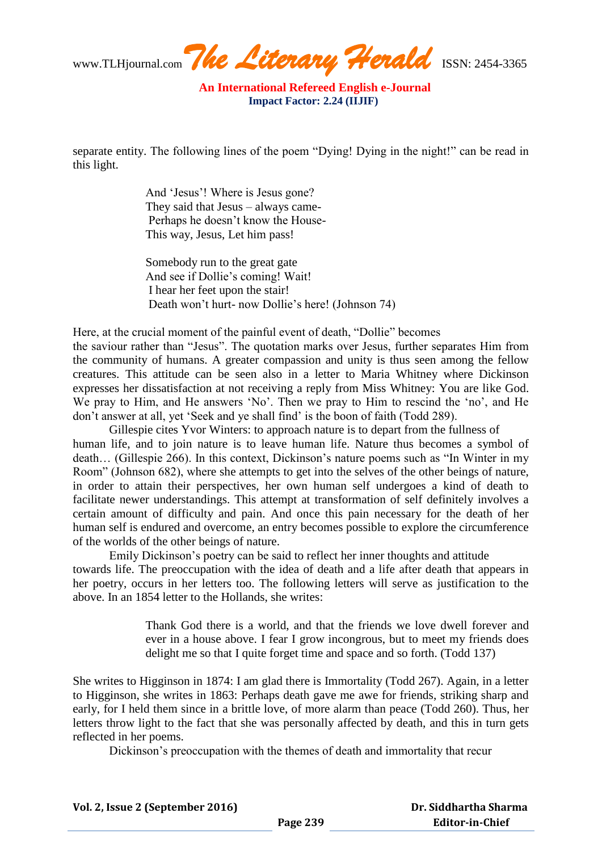www.TLHjournal.com*The Literary Herald*ISSN: 2454-3365

separate entity. The following lines of the poem "Dying! Dying in the night!" can be read in this light.

> And 'Jesus'! Where is Jesus gone? They said that Jesus – always came-Perhaps he doesn"t know the House-This way, Jesus, Let him pass!

Somebody run to the great gate And see if Dollie"s coming! Wait! I hear her feet upon the stair! Death won"t hurt- now Dollie"s here! (Johnson 74)

Here, at the crucial moment of the painful event of death, "Dollie" becomes

the saviour rather than "Jesus". The quotation marks over Jesus, further separates Him from the community of humans. A greater compassion and unity is thus seen among the fellow creatures. This attitude can be seen also in a letter to Maria Whitney where Dickinson expresses her dissatisfaction at not receiving a reply from Miss Whitney: You are like God. We pray to Him, and He answers 'No'. Then we pray to Him to rescind the 'no', and He don"t answer at all, yet "Seek and ye shall find" is the boon of faith (Todd 289).

Gillespie cites Yvor Winters: to approach nature is to depart from the fullness of human life, and to join nature is to leave human life. Nature thus becomes a symbol of death… (Gillespie 266). In this context, Dickinson"s nature poems such as "In Winter in my Room" (Johnson 682), where she attempts to get into the selves of the other beings of nature, in order to attain their perspectives, her own human self undergoes a kind of death to facilitate newer understandings. This attempt at transformation of self definitely involves a certain amount of difficulty and pain. And once this pain necessary for the death of her human self is endured and overcome, an entry becomes possible to explore the circumference of the worlds of the other beings of nature.

Emily Dickinson"s poetry can be said to reflect her inner thoughts and attitude towards life. The preoccupation with the idea of death and a life after death that appears in her poetry, occurs in her letters too. The following letters will serve as justification to the above. In an 1854 letter to the Hollands, she writes:

> Thank God there is a world, and that the friends we love dwell forever and ever in a house above. I fear I grow incongrous, but to meet my friends does delight me so that I quite forget time and space and so forth. (Todd 137)

She writes to Higginson in 1874: I am glad there is Immortality (Todd 267). Again, in a letter to Higginson, she writes in 1863: Perhaps death gave me awe for friends, striking sharp and early, for I held them since in a brittle love, of more alarm than peace (Todd 260). Thus, her letters throw light to the fact that she was personally affected by death, and this in turn gets reflected in her poems.

Dickinson"s preoccupation with the themes of death and immortality that recur

**Vol. 2, Issue 2 (September 2016)**

 **Dr. Siddhartha Sharma Editor-in-Chief**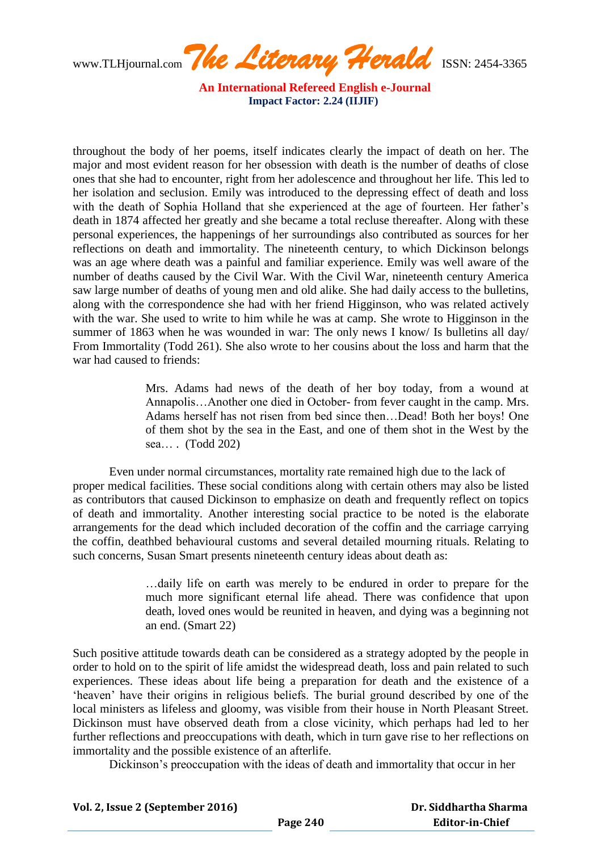www.TLHjournal.com*The Literary Herald*ISSN: 2454-3365

throughout the body of her poems, itself indicates clearly the impact of death on her. The major and most evident reason for her obsession with death is the number of deaths of close ones that she had to encounter, right from her adolescence and throughout her life. This led to her isolation and seclusion. Emily was introduced to the depressing effect of death and loss with the death of Sophia Holland that she experienced at the age of fourteen. Her father's death in 1874 affected her greatly and she became a total recluse thereafter. Along with these personal experiences, the happenings of her surroundings also contributed as sources for her reflections on death and immortality. The nineteenth century, to which Dickinson belongs was an age where death was a painful and familiar experience. Emily was well aware of the number of deaths caused by the Civil War. With the Civil War, nineteenth century America saw large number of deaths of young men and old alike. She had daily access to the bulletins, along with the correspondence she had with her friend Higginson, who was related actively with the war. She used to write to him while he was at camp. She wrote to Higginson in the summer of 1863 when he was wounded in war: The only news I know/ Is bulletins all day/ From Immortality (Todd 261). She also wrote to her cousins about the loss and harm that the war had caused to friends:

> Mrs. Adams had news of the death of her boy today, from a wound at Annapolis…Another one died in October- from fever caught in the camp. Mrs. Adams herself has not risen from bed since then…Dead! Both her boys! One of them shot by the sea in the East, and one of them shot in the West by the sea… . (Todd 202)

Even under normal circumstances, mortality rate remained high due to the lack of proper medical facilities. These social conditions along with certain others may also be listed as contributors that caused Dickinson to emphasize on death and frequently reflect on topics of death and immortality. Another interesting social practice to be noted is the elaborate arrangements for the dead which included decoration of the coffin and the carriage carrying the coffin, deathbed behavioural customs and several detailed mourning rituals. Relating to such concerns, Susan Smart presents nineteenth century ideas about death as:

> …daily life on earth was merely to be endured in order to prepare for the much more significant eternal life ahead. There was confidence that upon death, loved ones would be reunited in heaven, and dying was a beginning not an end. (Smart 22)

Such positive attitude towards death can be considered as a strategy adopted by the people in order to hold on to the spirit of life amidst the widespread death, loss and pain related to such experiences. These ideas about life being a preparation for death and the existence of a "heaven" have their origins in religious beliefs. The burial ground described by one of the local ministers as lifeless and gloomy, was visible from their house in North Pleasant Street. Dickinson must have observed death from a close vicinity, which perhaps had led to her further reflections and preoccupations with death, which in turn gave rise to her reflections on immortality and the possible existence of an afterlife.

Dickinson"s preoccupation with the ideas of death and immortality that occur in her

|  | Vol. 2, Issue 2 (September 2016) |
|--|----------------------------------|
|--|----------------------------------|

 **Dr. Siddhartha Sharma Editor-in-Chief**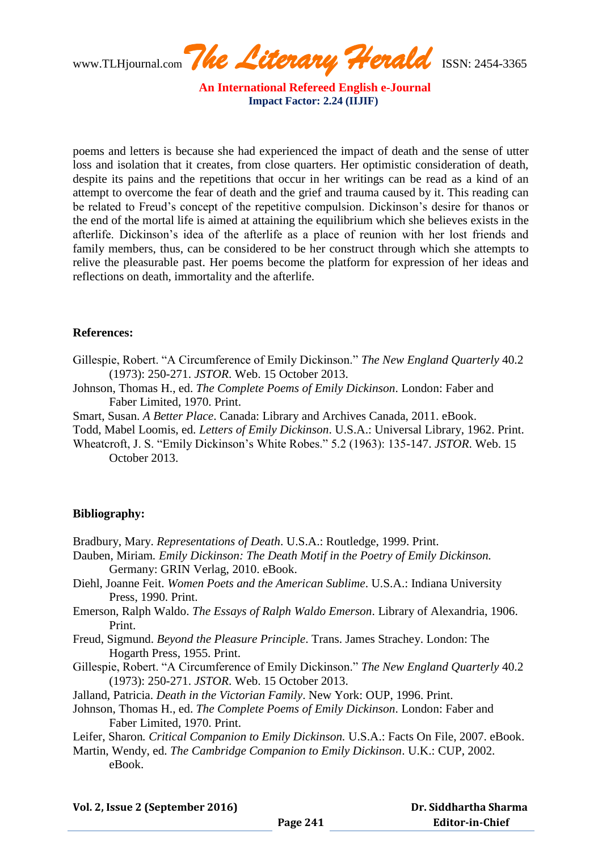www.TLHjournal.com*The Literary Herald*ISSN: 2454-3365

poems and letters is because she had experienced the impact of death and the sense of utter loss and isolation that it creates, from close quarters. Her optimistic consideration of death, despite its pains and the repetitions that occur in her writings can be read as a kind of an attempt to overcome the fear of death and the grief and trauma caused by it. This reading can be related to Freud's concept of the repetitive compulsion. Dickinson's desire for thanos or the end of the mortal life is aimed at attaining the equilibrium which she believes exists in the afterlife. Dickinson"s idea of the afterlife as a place of reunion with her lost friends and family members, thus, can be considered to be her construct through which she attempts to relive the pleasurable past. Her poems become the platform for expression of her ideas and reflections on death, immortality and the afterlife.

#### **References:**

- Gillespie, Robert. "A Circumference of Emily Dickinson." *The New England Quarterly* 40.2 (1973): 250-271. *JSTOR*. Web. 15 October 2013.
- Johnson, Thomas H., ed. *The Complete Poems of Emily Dickinson*. London: Faber and Faber Limited, 1970. Print.
- Smart, Susan. *A Better Place*. Canada: Library and Archives Canada, 2011. eBook.
- Todd, Mabel Loomis, ed. *Letters of Emily Dickinson*. U.S.A.: Universal Library, 1962. Print.
- Wheatcroft, J. S. "Emily Dickinson"s White Robes." 5.2 (1963): 135-147. *JSTOR*. Web. 15 October 2013.

### **Bibliography:**

Bradbury, Mary. *Representations of Death*. U.S.A.: Routledge, 1999. Print.

- Dauben, Miriam*. Emily Dickinson: The Death Motif in the Poetry of Emily Dickinson.* Germany: GRIN Verlag, 2010. eBook.
- Diehl, Joanne Feit. *Women Poets and the American Sublime*. U.S.A.: Indiana University Press, 1990. Print.
- Emerson, Ralph Waldo. *The Essays of Ralph Waldo Emerson*. Library of Alexandria, 1906. Print.
- Freud, Sigmund. *Beyond the Pleasure Principle*. Trans. James Strachey. London: The Hogarth Press, 1955. Print.
- Gillespie, Robert. "A Circumference of Emily Dickinson." *The New England Quarterly* 40.2 (1973): 250-271. *JSTOR*. Web. 15 October 2013.
- Jalland, Patricia. *Death in the Victorian Family*. New York: OUP, 1996. Print.
- Johnson, Thomas H., ed. *The Complete Poems of Emily Dickinson*. London: Faber and Faber Limited, 1970. Print.
- Leifer, Sharon*. Critical Companion to Emily Dickinson.* U.S.A.: Facts On File, 2007. eBook.
- Martin, Wendy, ed. *The Cambridge Companion to Emily Dickinson*. U.K.: CUP, 2002. eBook.